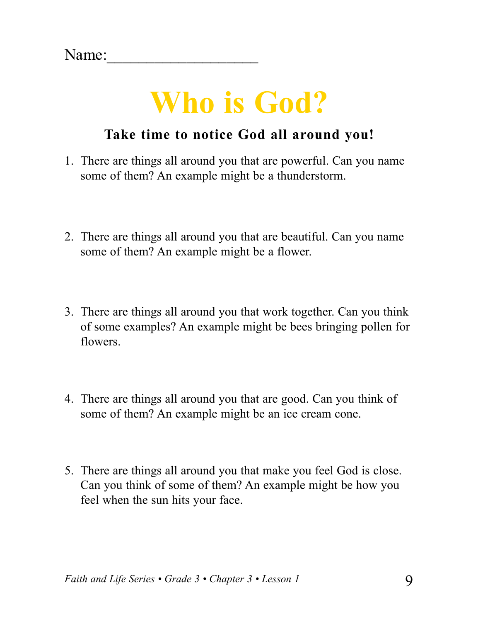### **Who is God?**

#### **Take time to notice God all around you!**

- 1. There are things all around you that are powerful. Can you name some of them? An example might be a thunderstorm.
- 2. There are things all around you that are beautiful. Can you name some of them? An example might be a flower.
- 3. There are things all around you that work together. Can you think of some examples? An example might be bees bringing pollen for flowers.
- 4. There are things all around you that are good. Can you think of some of them? An example might be an ice cream cone.
- 5. There are things all around you that make you feel God is close. Can you think of some of them? An example might be how you feel when the sun hits your face.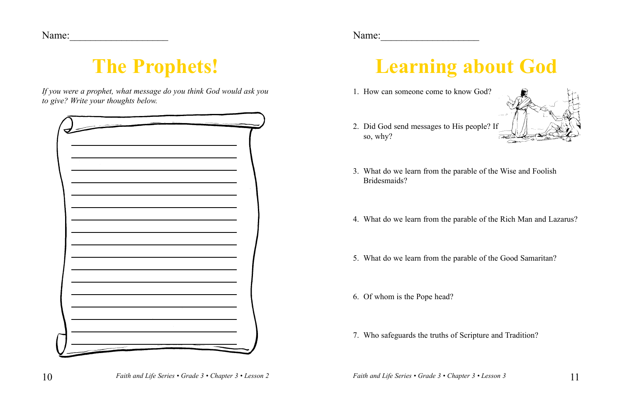## **The Prophets!**

*If you were a prophet, what message do you think God would ask you to give? Write your thoughts below.*

| i vojne |  |
|---------|--|
|         |  |

# **Learning about God**

- 1. How can someone come to know God?
- 2. Did God send messages to His people? If so, why?



- 3. What do we learn from the parable of the Wise and Foolish Bridesmaids?
- 4. What do we learn from the parable of the Rich man and Lazarus?
- 5. What do we learn from the parable of the Good Samaritan?
- 6. Of whom is the Pope head?
- 7. Who safeguards the truths of Scripture and Tradition?